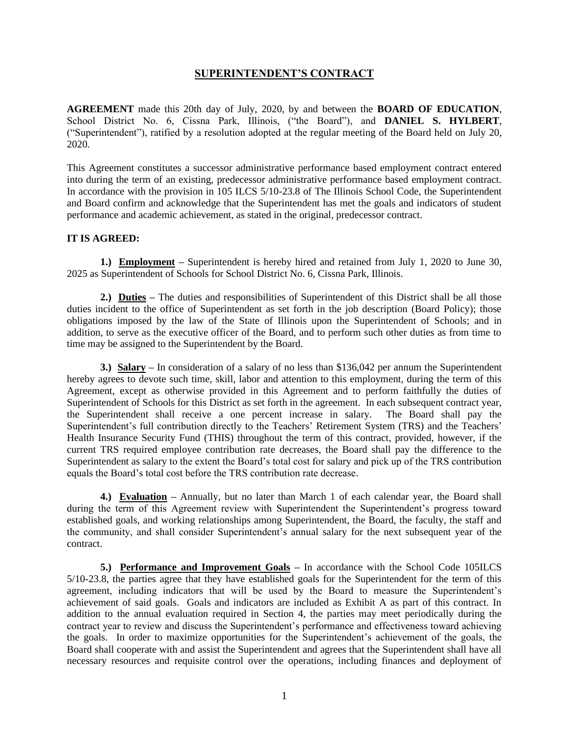### **SUPERINTENDENT'S CONTRACT**

**AGREEMENT** made this 20th day of July, 2020, by and between the **BOARD OF EDUCATION**, School District No. 6, Cissna Park, Illinois, ("the Board"), and **DANIEL S. HYLBERT**, ("Superintendent"), ratified by a resolution adopted at the regular meeting of the Board held on July 20, 2020.

This Agreement constitutes a successor administrative performance based employment contract entered into during the term of an existing, predecessor administrative performance based employment contract. In accordance with the provision in 105 ILCS 5/10-23.8 of The Illinois School Code, the Superintendent and Board confirm and acknowledge that the Superintendent has met the goals and indicators of student performance and academic achievement, as stated in the original, predecessor contract.

### **IT IS AGREED:**

**1.) Employment** – Superintendent is hereby hired and retained from July 1, 2020 to June 30, 2025 as Superintendent of Schools for School District No. 6, Cissna Park, Illinois.

**2.) Duties –** The duties and responsibilities of Superintendent of this District shall be all those duties incident to the office of Superintendent as set forth in the job description (Board Policy); those obligations imposed by the law of the State of Illinois upon the Superintendent of Schools; and in addition, to serve as the executive officer of the Board, and to perform such other duties as from time to time may be assigned to the Superintendent by the Board.

**3.) Salary –** In consideration of a salary of no less than \$136,042 per annum the Superintendent hereby agrees to devote such time, skill, labor and attention to this employment, during the term of this Agreement, except as otherwise provided in this Agreement and to perform faithfully the duties of Superintendent of Schools for this District as set forth in the agreement. In each subsequent contract year, the Superintendent shall receive a one percent increase in salary. The Board shall pay the Superintendent's full contribution directly to the Teachers' Retirement System (TRS) and the Teachers' Health Insurance Security Fund (THIS) throughout the term of this contract, provided, however, if the current TRS required employee contribution rate decreases, the Board shall pay the difference to the Superintendent as salary to the extent the Board's total cost for salary and pick up of the TRS contribution equals the Board's total cost before the TRS contribution rate decrease.

**4.) Evaluation –** Annually, but no later than March 1 of each calendar year, the Board shall during the term of this Agreement review with Superintendent the Superintendent's progress toward established goals, and working relationships among Superintendent, the Board, the faculty, the staff and the community, and shall consider Superintendent's annual salary for the next subsequent year of the contract.

**5.)** Performance and Improvement Goals – In accordance with the School Code 105ILCS 5/10-23.8, the parties agree that they have established goals for the Superintendent for the term of this agreement, including indicators that will be used by the Board to measure the Superintendent's achievement of said goals. Goals and indicators are included as Exhibit A as part of this contract. In addition to the annual evaluation required in Section 4, the parties may meet periodically during the contract year to review and discuss the Superintendent's performance and effectiveness toward achieving the goals. In order to maximize opportunities for the Superintendent's achievement of the goals, the Board shall cooperate with and assist the Superintendent and agrees that the Superintendent shall have all necessary resources and requisite control over the operations, including finances and deployment of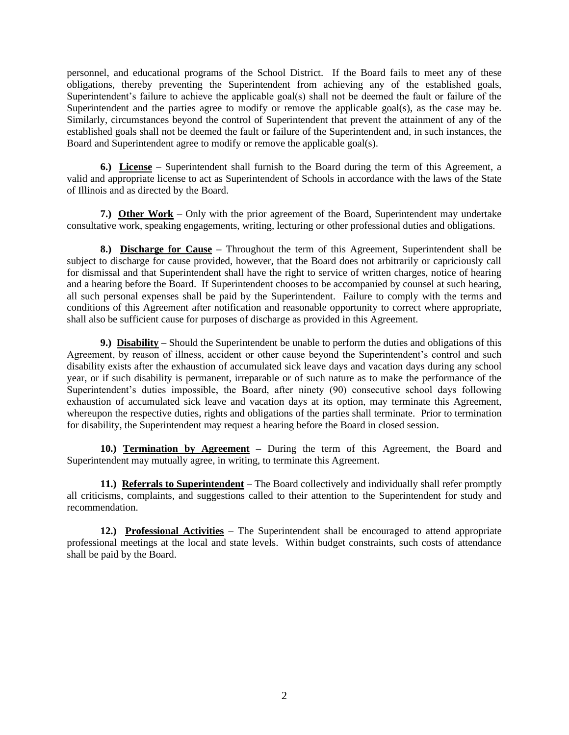personnel, and educational programs of the School District. If the Board fails to meet any of these obligations, thereby preventing the Superintendent from achieving any of the established goals, Superintendent's failure to achieve the applicable goal(s) shall not be deemed the fault or failure of the Superintendent and the parties agree to modify or remove the applicable goal(s), as the case may be. Similarly, circumstances beyond the control of Superintendent that prevent the attainment of any of the established goals shall not be deemed the fault or failure of the Superintendent and, in such instances, the Board and Superintendent agree to modify or remove the applicable goal(s).

**6.) License –** Superintendent shall furnish to the Board during the term of this Agreement, a valid and appropriate license to act as Superintendent of Schools in accordance with the laws of the State of Illinois and as directed by the Board.

**7.)** Other Work – Only with the prior agreement of the Board, Superintendent may undertake consultative work, speaking engagements, writing, lecturing or other professional duties and obligations.

8.) Discharge for Cause - Throughout the term of this Agreement, Superintendent shall be subject to discharge for cause provided, however, that the Board does not arbitrarily or capriciously call for dismissal and that Superintendent shall have the right to service of written charges, notice of hearing and a hearing before the Board. If Superintendent chooses to be accompanied by counsel at such hearing, all such personal expenses shall be paid by the Superintendent. Failure to comply with the terms and conditions of this Agreement after notification and reasonable opportunity to correct where appropriate, shall also be sufficient cause for purposes of discharge as provided in this Agreement.

**9.) Disability –** Should the Superintendent be unable to perform the duties and obligations of this Agreement, by reason of illness, accident or other cause beyond the Superintendent's control and such disability exists after the exhaustion of accumulated sick leave days and vacation days during any school year, or if such disability is permanent, irreparable or of such nature as to make the performance of the Superintendent's duties impossible, the Board, after ninety (90) consecutive school days following exhaustion of accumulated sick leave and vacation days at its option, may terminate this Agreement, whereupon the respective duties, rights and obligations of the parties shall terminate. Prior to termination for disability, the Superintendent may request a hearing before the Board in closed session.

**10.) Termination by Agreement –** During the term of this Agreement, the Board and Superintendent may mutually agree, in writing, to terminate this Agreement.

**11.) Referrals to Superintendent** – The Board collectively and individually shall refer promptly all criticisms, complaints, and suggestions called to their attention to the Superintendent for study and recommendation.

**12.) Professional Activities –** The Superintendent shall be encouraged to attend appropriate professional meetings at the local and state levels. Within budget constraints, such costs of attendance shall be paid by the Board.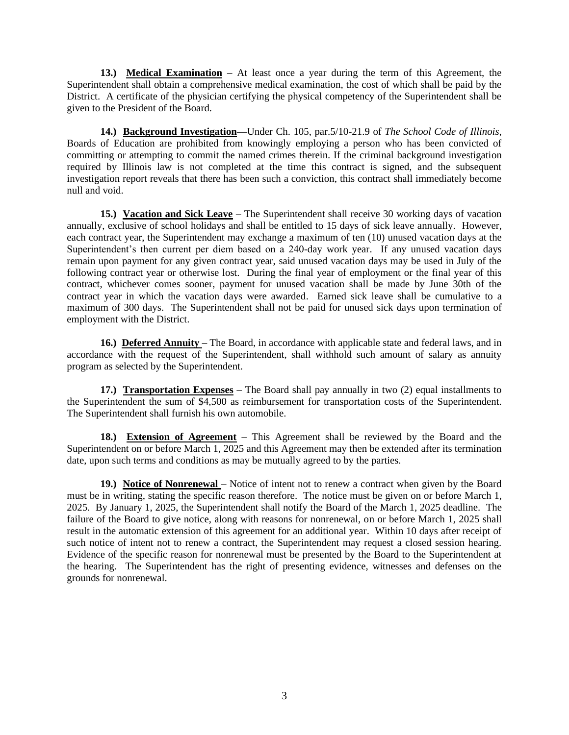**13.) Medical Examination –** At least once a year during the term of this Agreement, the Superintendent shall obtain a comprehensive medical examination, the cost of which shall be paid by the District. A certificate of the physician certifying the physical competency of the Superintendent shall be given to the President of the Board.

**14.) Background Investigation—**Under Ch. 105, par.5/10-21.9 of *The School Code of Illinois,* Boards of Education are prohibited from knowingly employing a person who has been convicted of committing or attempting to commit the named crimes therein. If the criminal background investigation required by Illinois law is not completed at the time this contract is signed, and the subsequent investigation report reveals that there has been such a conviction, this contract shall immediately become null and void.

**15.)** Vacation and Sick Leave – The Superintendent shall receive 30 working days of vacation annually, exclusive of school holidays and shall be entitled to 15 days of sick leave annually. However, each contract year, the Superintendent may exchange a maximum of ten (10) unused vacation days at the Superintendent's then current per diem based on a 240-day work year. If any unused vacation days remain upon payment for any given contract year, said unused vacation days may be used in July of the following contract year or otherwise lost. During the final year of employment or the final year of this contract, whichever comes sooner, payment for unused vacation shall be made by June 30th of the contract year in which the vacation days were awarded. Earned sick leave shall be cumulative to a maximum of 300 days. The Superintendent shall not be paid for unused sick days upon termination of employment with the District.

**16.) Deferred Annuity –** The Board, in accordance with applicable state and federal laws, and in accordance with the request of the Superintendent, shall withhold such amount of salary as annuity program as selected by the Superintendent.

**17.) Transportation Expenses –** The Board shall pay annually in two (2) equal installments to the Superintendent the sum of \$4,500 as reimbursement for transportation costs of the Superintendent. The Superintendent shall furnish his own automobile.

**18.) Extension of Agreement –** This Agreement shall be reviewed by the Board and the Superintendent on or before March 1, 2025 and this Agreement may then be extended after its termination date, upon such terms and conditions as may be mutually agreed to by the parties.

**19.) Notice of Nonrenewal –** Notice of intent not to renew a contract when given by the Board must be in writing, stating the specific reason therefore. The notice must be given on or before March 1, 2025. By January 1, 2025, the Superintendent shall notify the Board of the March 1, 2025 deadline. The failure of the Board to give notice, along with reasons for nonrenewal, on or before March 1, 2025 shall result in the automatic extension of this agreement for an additional year. Within 10 days after receipt of such notice of intent not to renew a contract, the Superintendent may request a closed session hearing. Evidence of the specific reason for nonrenewal must be presented by the Board to the Superintendent at the hearing. The Superintendent has the right of presenting evidence, witnesses and defenses on the grounds for nonrenewal.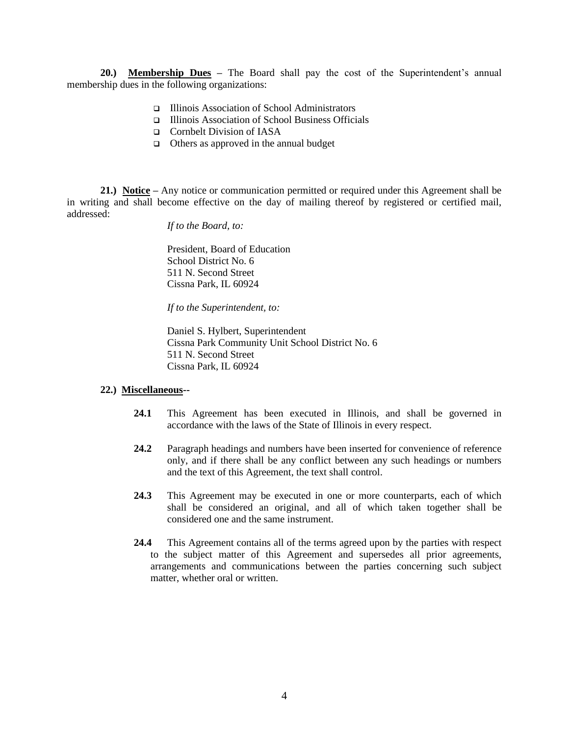**20.) Membership Dues –** The Board shall pay the cost of the Superintendent's annual membership dues in the following organizations:

- ❑ Illinois Association of School Administrators
- ❑ Illinois Association of School Business Officials
- ❑ Cornbelt Division of IASA
- ❑ Others as approved in the annual budget

**21.) Notice –** Any notice or communication permitted or required under this Agreement shall be in writing and shall become effective on the day of mailing thereof by registered or certified mail, addressed:

*If to the Board, to:*

President, Board of Education School District No. 6 511 N. Second Street Cissna Park, IL 60924

*If to the Superintendent, to:*

Daniel S. Hylbert, Superintendent Cissna Park Community Unit School District No. 6 511 N. Second Street Cissna Park, IL 60924

#### **22.) Miscellaneous--**

- **24.1** This Agreement has been executed in Illinois, and shall be governed in accordance with the laws of the State of Illinois in every respect.
- **24.2** Paragraph headings and numbers have been inserted for convenience of reference only, and if there shall be any conflict between any such headings or numbers and the text of this Agreement, the text shall control.
- **24.3** This Agreement may be executed in one or more counterparts, each of which shall be considered an original, and all of which taken together shall be considered one and the same instrument.
- **24.4** This Agreement contains all of the terms agreed upon by the parties with respect to the subject matter of this Agreement and supersedes all prior agreements, arrangements and communications between the parties concerning such subject matter, whether oral or written.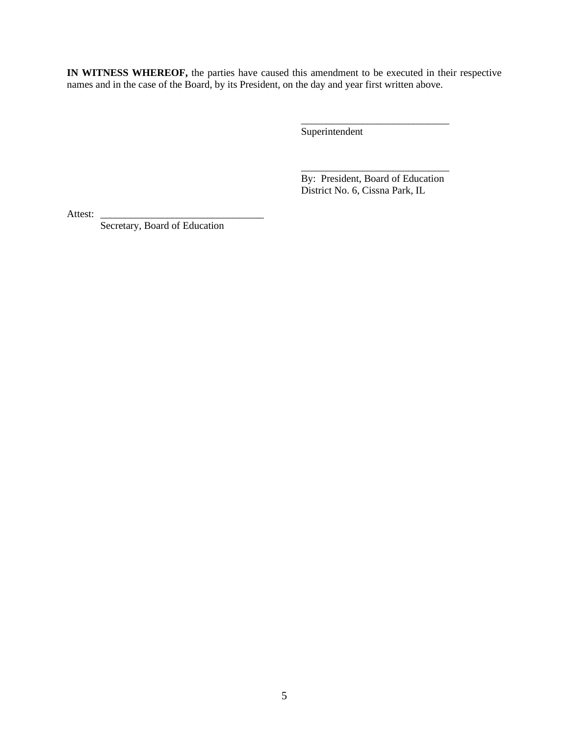**IN WITNESS WHEREOF,** the parties have caused this amendment to be executed in their respective names and in the case of the Board, by its President, on the day and year first written above.

Superintendent

\_\_\_\_\_\_\_\_\_\_\_\_\_\_\_\_\_\_\_\_\_\_\_\_\_\_\_\_\_ By: President, Board of Education District No. 6, Cissna Park, IL

\_\_\_\_\_\_\_\_\_\_\_\_\_\_\_\_\_\_\_\_\_\_\_\_\_\_\_\_\_

Attest:

Secretary, Board of Education